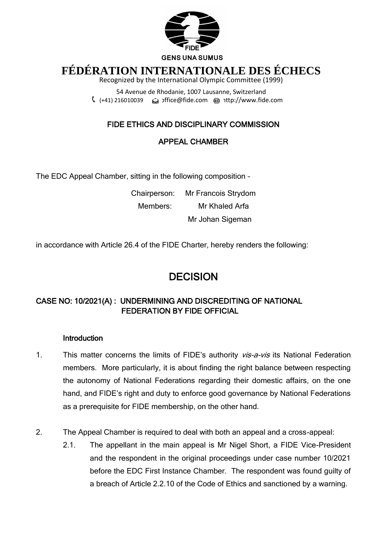

# **FÉDÉRATION INTERNATIONALE DES ÉCHECS**

Recognized by the International Olympic Committee (1999)

54 Avenue de Rhodanie, 1007 Lausanne, Switzerland (+41) 216010039 [office@fide.com](mailto:office@fide.com) http://www.fide.com

## FIDE ETHICS AND DISCIPLINARY COMMISSION

## APPEAL CHAMBER

The EDC Appeal Chamber, sitting in the following composition –

Chairperson: Mr Francois Strydom Members: Mr Khaled Arfa Mr Johan Sigeman

in accordance with Article 26.4 of the FIDE Charter, hereby renders the following:

## **DECISION**

## CASE NO: 10/2021(A) : UNDERMINING AND DISCREDITING OF NATIONAL FEDERATION BY FIDE OFFICIAL

#### **Introduction**

- 1. This matter concerns the limits of FIDE's authority vis-a-vis its National Federation members. More particularly, it is about finding the right balance between respecting the autonomy of National Federations regarding their domestic affairs, on the one hand, and FIDE's right and duty to enforce good governance by National Federations as a prerequisite for FIDE membership, on the other hand.
- 2. The Appeal Chamber is required to deal with both an appeal and a cross-appeal:
	- 2.1. The appellant in the main appeal is Mr Nigel Short, a FIDE Vice-President and the respondent in the original proceedings under case number 10/2021 before the EDC First Instance Chamber. The respondent was found guilty of a breach of Article 2.2.10 of the Code of Ethics and sanctioned by a warning.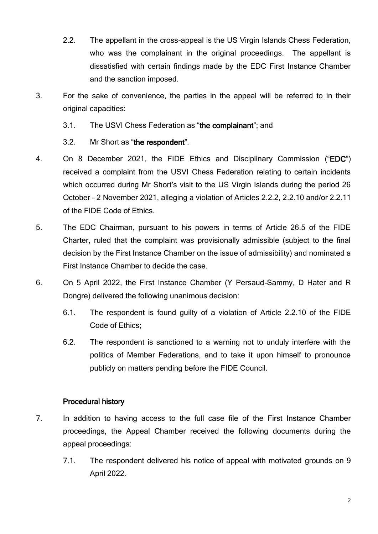- 2.2. The appellant in the cross-appeal is the US Virgin Islands Chess Federation, who was the complainant in the original proceedings. The appellant is dissatisfied with certain findings made by the EDC First Instance Chamber and the sanction imposed.
- 3. For the sake of convenience, the parties in the appeal will be referred to in their original capacities:
	- 3.1. The USVI Chess Federation as "the complainant"; and
	- 3.2. Mr Short as "the respondent".
- 4. On 8 December 2021, the FIDE Ethics and Disciplinary Commission ("EDC") received a complaint from the USVI Chess Federation relating to certain incidents which occurred during Mr Short's visit to the US Virgin Islands during the period 26 October – 2 November 2021, alleging a violation of Articles 2.2.2, 2.2.10 and/or 2.2.11 of the FIDE Code of Ethics.
- 5. The EDC Chairman, pursuant to his powers in terms of Article 26.5 of the FIDE Charter, ruled that the complaint was provisionally admissible (subject to the final decision by the First Instance Chamber on the issue of admissibility) and nominated a First Instance Chamber to decide the case.
- 6. On 5 April 2022, the First Instance Chamber (Y Persaud-Sammy, D Hater and R Dongre) delivered the following unanimous decision:
	- 6.1. The respondent is found guilty of a violation of Article 2.2.10 of the FIDE Code of Ethics;
	- 6.2. The respondent is sanctioned to a warning not to unduly interfere with the politics of Member Federations, and to take it upon himself to pronounce publicly on matters pending before the FIDE Council.

## Procedural history

- 7. In addition to having access to the full case file of the First Instance Chamber proceedings, the Appeal Chamber received the following documents during the appeal proceedings:
	- 7.1. The respondent delivered his notice of appeal with motivated grounds on 9 April 2022.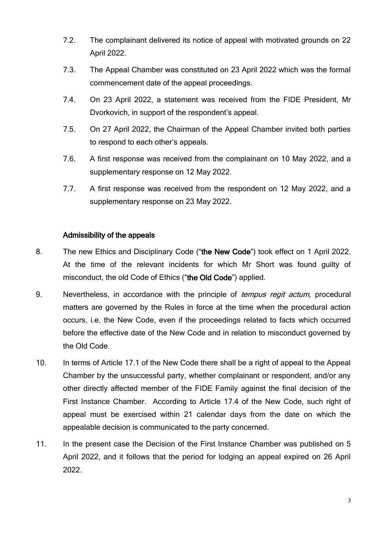- 7.2. The complainant delivered its notice of appeal with motivated grounds on 22 April 2022.
- 7.3. The Appeal Chamber was constituted on 23 April 2022 which was the formal commencement date of the appeal proceedings.
- 7.4. On 23 April 2022, a statement was received from the FIDE President, Mr Dvorkovich, in support of the respondent's appeal.
- 7.5. On 27 April 2022, the Chairman of the Appeal Chamber invited both parties to respond to each other's appeals.
- 7.6. A first response was received from the complainant on 10 May 2022, and a supplementary response on 12 May 2022.
- 7.7. A first response was received from the respondent on 12 May 2022, and a supplementary response on 23 May 2022.

#### Admissibility of the appeals

- 8. The new Ethics and Disciplinary Code ("the New Code") took effect on 1 April 2022. At the time of the relevant incidents for which Mr Short was found guilty of misconduct, the old Code of Ethics ("the Old Code") applied.
- 9. Nevertheless, in accordance with the principle of *tempus regit actum*, procedural matters are governed by the Rules in force at the time when the procedural action occurs, i.e. the New Code, even if the proceedings related to facts which occurred before the effective date of the New Code and in relation to misconduct governed by the Old Code.
- 10. In terms of Article 17.1 of the New Code there shall be a right of appeal to the Appeal Chamber by the unsuccessful party, whether complainant or respondent, and/or any other directly affected member of the FIDE Family against the final decision of the First Instance Chamber. According to Article 17.4 of the New Code, such right of appeal must be exercised within 21 calendar days from the date on which the appealable decision is communicated to the party concerned.
- 11. In the present case the Decision of the First Instance Chamber was published on 5 April 2022, and it follows that the period for lodging an appeal expired on 26 April 2022.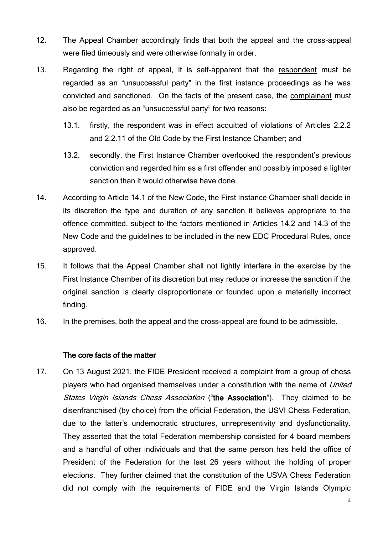- 12. The Appeal Chamber accordingly finds that both the appeal and the cross-appeal were filed timeously and were otherwise formally in order.
- 13. Regarding the right of appeal, it is self-apparent that the respondent must be regarded as an "unsuccessful party" in the first instance proceedings as he was convicted and sanctioned. On the facts of the present case, the complainant must also be regarded as an "unsuccessful party" for two reasons:
	- 13.1. firstly, the respondent was in effect acquitted of violations of Articles 2.2.2 and 2.2.11 of the Old Code by the First Instance Chamber; and
	- 13.2. secondly, the First Instance Chamber overlooked the respondent's previous conviction and regarded him as a first offender and possibly imposed a lighter sanction than it would otherwise have done.
- 14. According to Article 14.1 of the New Code, the First Instance Chamber shall decide in its discretion the type and duration of any sanction it believes appropriate to the offence committed, subject to the factors mentioned in Articles 14.2 and 14.3 of the New Code and the guidelines to be included in the new EDC Procedural Rules, once approved.
- 15. It follows that the Appeal Chamber shall not lightly interfere in the exercise by the First Instance Chamber of its discretion but may reduce or increase the sanction if the original sanction is clearly disproportionate or founded upon a materially incorrect finding.
- 16. In the premises, both the appeal and the cross-appeal are found to be admissible.

#### The core facts of the matter

17. On 13 August 2021, the FIDE President received a complaint from a group of chess players who had organised themselves under a constitution with the name of United States Virgin Islands Chess Association ("the Association"). They claimed to be disenfranchised (by choice) from the official Federation, the USVI Chess Federation, due to the latter's undemocratic structures, unrepresentivity and dysfunctionality. They asserted that the total Federation membership consisted for 4 board members and a handful of other individuals and that the same person has held the office of President of the Federation for the last 26 years without the holding of proper elections. They further claimed that the constitution of the USVA Chess Federation did not comply with the requirements of FIDE and the Virgin Islands Olympic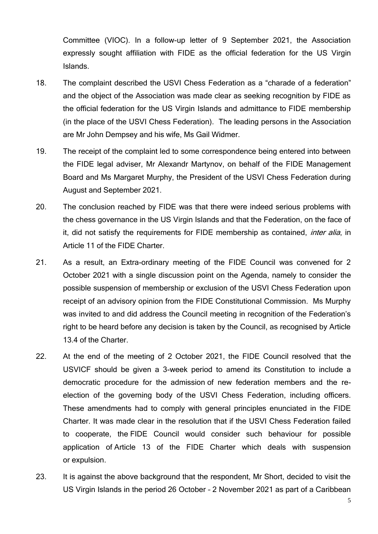Committee (VIOC). In a follow-up letter of 9 September 2021, the Association expressly sought affiliation with FIDE as the official federation for the US Virgin Islands.

- 18. The complaint described the USVI Chess Federation as a "charade of a federation" and the object of the Association was made clear as seeking recognition by FIDE as the official federation for the US Virgin Islands and admittance to FIDE membership (in the place of the USVI Chess Federation). The leading persons in the Association are Mr John Dempsey and his wife, Ms Gail Widmer.
- 19. The receipt of the complaint led to some correspondence being entered into between the FIDE legal adviser, Mr Alexandr Martynov, on behalf of the FIDE Management Board and Ms Margaret Murphy, the President of the USVI Chess Federation during August and September 2021.
- 20. The conclusion reached by FIDE was that there were indeed serious problems with the chess governance in the US Virgin Islands and that the Federation, on the face of it, did not satisfy the requirements for FIDE membership as contained, *inter alia*, in Article 11 of the FIDE Charter.
- 21. As a result, an Extra-ordinary meeting of the FIDE Council was convened for 2 October 2021 with a single discussion point on the Agenda, namely to consider the possible suspension of membership or exclusion of the USVI Chess Federation upon receipt of an advisory opinion from the FIDE Constitutional Commission. Ms Murphy was invited to and did address the Council meeting in recognition of the Federation's right to be heard before any decision is taken by the Council, as recognised by Article 13.4 of the Charter.
- 22. At the end of the meeting of 2 October 2021, the FIDE Council resolved that the USVICF should be given a 3-week period to amend its Constitution to include a democratic procedure for the admission of new federation members and the reelection of the governing body of the USVI Chess Federation, including officers. These amendments had to comply with general principles enunciated in the FIDE Charter. It was made clear in the resolution that if the USVI Chess Federation failed to cooperate, the FIDE Council would consider such behaviour for possible application of Article 13 of the FIDE Charter which deals with suspension or expulsion.
- 23. It is against the above background that the respondent, Mr Short, decided to visit the US Virgin Islands in the period 26 October – 2 November 2021 as part of a Caribbean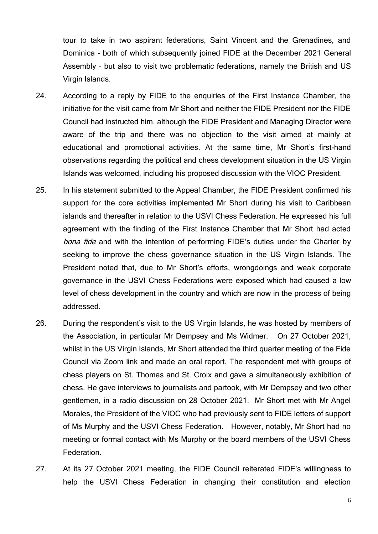tour to take in two aspirant federations, Saint Vincent and the Grenadines, and Dominica – both of which subsequently joined FIDE at the December 2021 General Assembly – but also to visit two problematic federations, namely the British and US Virgin Islands.

- 24. According to a reply by FIDE to the enquiries of the First Instance Chamber, the initiative for the visit came from Mr Short and neither the FIDE President nor the FIDE Council had instructed him, although the FIDE President and Managing Director were aware of the trip and there was no objection to the visit aimed at mainly at educational and promotional activities. At the same time, Mr Short's first-hand observations regarding the political and chess development situation in the US Virgin Islands was welcomed, including his proposed discussion with the VIOC President.
- 25. In his statement submitted to the Appeal Chamber, the FIDE President confirmed his support for the core activities implemented Mr Short during his visit to Caribbean islands and thereafter in relation to the USVI Chess Federation. He expressed his full agreement with the finding of the First Instance Chamber that Mr Short had acted bona fide and with the intention of performing FIDE's duties under the Charter by seeking to improve the chess governance situation in the US Virgin Islands. The President noted that, due to Mr Short's efforts, wrongdoings and weak corporate governance in the USVI Chess Federations were exposed which had caused a low level of chess development in the country and which are now in the process of being addressed.
- 26. During the respondent's visit to the US Virgin Islands, he was hosted by members of the Association, in particular Mr Dempsey and Ms Widmer. On 27 October 2021, whilst in the US Virgin Islands, Mr Short attended the third quarter meeting of the Fide Council via Zoom link and made an oral report. The respondent met with groups of chess players on St. Thomas and St. Croix and gave a simultaneously exhibition of chess. He gave interviews to journalists and partook, with Mr Dempsey and two other gentlemen, in a radio discussion on 28 October 2021. Mr Short met with Mr Angel Morales, the President of the VIOC who had previously sent to FIDE letters of support of Ms Murphy and the USVI Chess Federation. However, notably, Mr Short had no meeting or formal contact with Ms Murphy or the board members of the USVI Chess Federation.
- 27. At its 27 October 2021 meeting, the FIDE Council reiterated FIDE's willingness to help the USVI Chess Federation in changing their constitution and election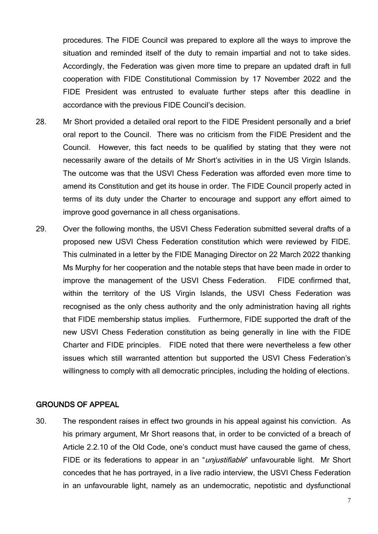procedures. The FIDE Council was prepared to explore all the ways to improve the situation and reminded itself of the duty to remain impartial and not to take sides. Accordingly, the Federation was given more time to prepare an updated draft in full cooperation with FIDE Constitutional Commission by 17 November 2022 and the FIDE President was entrusted to evaluate further steps after this deadline in accordance with the previous FIDE Council's decision.

- 28. Mr Short provided a detailed oral report to the FIDE President personally and a brief oral report to the Council. There was no criticism from the FIDE President and the Council. However, this fact needs to be qualified by stating that they were not necessarily aware of the details of Mr Short's activities in in the US Virgin Islands. The outcome was that the USVI Chess Federation was afforded even more time to amend its Constitution and get its house in order. The FIDE Council properly acted in terms of its duty under the Charter to encourage and support any effort aimed to improve good governance in all chess organisations.
- 29. Over the following months, the USVI Chess Federation submitted several drafts of a proposed new USVI Chess Federation constitution which were reviewed by FIDE. This culminated in a letter by the FIDE Managing Director on 22 March 2022 thanking Ms Murphy for her cooperation and the notable steps that have been made in order to improve the management of the USVI Chess Federation. FIDE confirmed that, within the territory of the US Virgin Islands, the USVI Chess Federation was recognised as the only chess authority and the only administration having all rights that FIDE membership status implies. Furthermore, FIDE supported the draft of the new USVI Chess Federation constitution as being generally in line with the FIDE Charter and FIDE principles. FIDE noted that there were nevertheless a few other issues which still warranted attention but supported the USVI Chess Federation's willingness to comply with all democratic principles, including the holding of elections.

#### GROUNDS OF APPEAL

30. The respondent raises in effect two grounds in his appeal against his conviction. As his primary argument, Mr Short reasons that, in order to be convicted of a breach of Article 2.2.10 of the Old Code, one's conduct must have caused the game of chess, FIDE or its federations to appear in an "*unjustifiable*" unfavourable light. Mr Short concedes that he has portrayed, in a live radio interview, the USVI Chess Federation in an unfavourable light, namely as an undemocratic, nepotistic and dysfunctional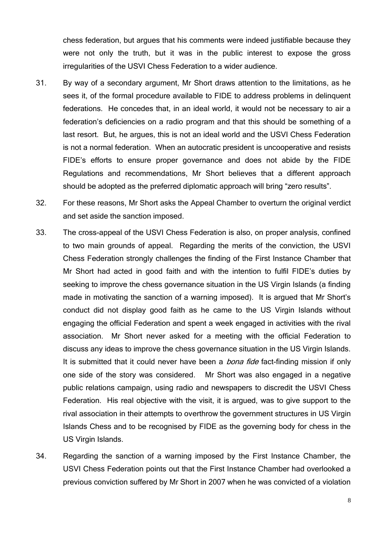chess federation, but argues that his comments were indeed justifiable because they were not only the truth, but it was in the public interest to expose the gross irregularities of the USVI Chess Federation to a wider audience.

- 31. By way of a secondary argument, Mr Short draws attention to the limitations, as he sees it, of the formal procedure available to FIDE to address problems in delinquent federations. He concedes that, in an ideal world, it would not be necessary to air a federation's deficiencies on a radio program and that this should be something of a last resort. But, he argues, this is not an ideal world and the USVI Chess Federation is not a normal federation. When an autocratic president is uncooperative and resists FIDE's efforts to ensure proper governance and does not abide by the FIDE Regulations and recommendations, Mr Short believes that a different approach should be adopted as the preferred diplomatic approach will bring "zero results".
- 32. For these reasons, Mr Short asks the Appeal Chamber to overturn the original verdict and set aside the sanction imposed.
- 33. The cross-appeal of the USVI Chess Federation is also, on proper analysis, confined to two main grounds of appeal. Regarding the merits of the conviction, the USVI Chess Federation strongly challenges the finding of the First Instance Chamber that Mr Short had acted in good faith and with the intention to fulfil FIDE's duties by seeking to improve the chess governance situation in the US Virgin Islands (a finding made in motivating the sanction of a warning imposed). It is argued that Mr Short's conduct did not display good faith as he came to the US Virgin Islands without engaging the official Federation and spent a week engaged in activities with the rival association. Mr Short never asked for a meeting with the official Federation to discuss any ideas to improve the chess governance situation in the US Virgin Islands. It is submitted that it could never have been a *bona fide* fact-finding mission if only one side of the story was considered. Mr Short was also engaged in a negative public relations campaign, using radio and newspapers to discredit the USVI Chess Federation. His real objective with the visit, it is argued, was to give support to the rival association in their attempts to overthrow the government structures in US Virgin Islands Chess and to be recognised by FIDE as the governing body for chess in the US Virgin Islands.
- 34. Regarding the sanction of a warning imposed by the First Instance Chamber, the USVI Chess Federation points out that the First Instance Chamber had overlooked a previous conviction suffered by Mr Short in 2007 when he was convicted of a violation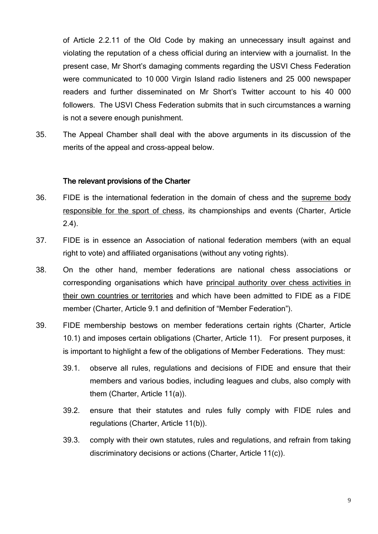of Article 2.2.11 of the Old Code by making an unnecessary insult against and violating the reputation of a chess official during an interview with a journalist. In the present case, Mr Short's damaging comments regarding the USVI Chess Federation were communicated to 10 000 Virgin Island radio listeners and 25 000 newspaper readers and further disseminated on Mr Short's Twitter account to his 40 000 followers. The USVI Chess Federation submits that in such circumstances a warning is not a severe enough punishment.

35. The Appeal Chamber shall deal with the above arguments in its discussion of the merits of the appeal and cross-appeal below.

#### The relevant provisions of the Charter

- 36. FIDE is the international federation in the domain of chess and the supreme body responsible for the sport of chess, its championships and events (Charter, Article 2.4).
- 37. FIDE is in essence an Association of national federation members (with an equal right to vote) and affiliated organisations (without any voting rights).
- 38. On the other hand, member federations are national chess associations or corresponding organisations which have principal authority over chess activities in their own countries or territories and which have been admitted to FIDE as a FIDE member (Charter, Article 9.1 and definition of "Member Federation").
- 39. FIDE membership bestows on member federations certain rights (Charter, Article 10.1) and imposes certain obligations (Charter, Article 11). For present purposes, it is important to highlight a few of the obligations of Member Federations. They must:
	- 39.1. observe all rules, regulations and decisions of FIDE and ensure that their members and various bodies, including leagues and clubs, also comply with them (Charter, Article 11(a)).
	- 39.2. ensure that their statutes and rules fully comply with FIDE rules and regulations (Charter, Article 11(b)).
	- 39.3. comply with their own statutes, rules and regulations, and refrain from taking discriminatory decisions or actions (Charter, Article 11(c)).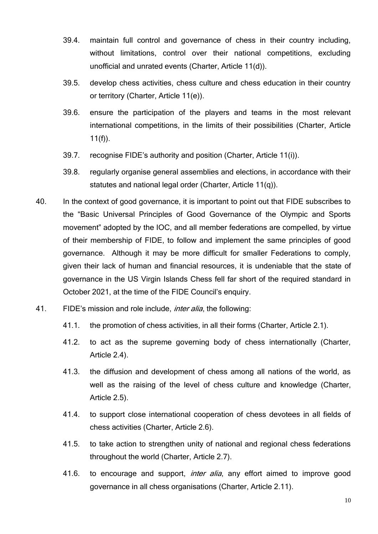- 39.4. maintain full control and governance of chess in their country including, without limitations, control over their national competitions, excluding unofficial and unrated events (Charter, Article 11(d)).
- 39.5. develop chess activities, chess culture and chess education in their country or territory (Charter, Article 11(e)).
- 39.6. ensure the participation of the players and teams in the most relevant international competitions, in the limits of their possibilities (Charter, Article  $11(f)$ ).
- 39.7. recognise FIDE's authority and position (Charter, Article 11(i)).
- 39.8. regularly organise general assemblies and elections, in accordance with their statutes and national legal order (Charter, Article 11(q)).
- 40. In the context of good governance, it is important to point out that FIDE subscribes to the "Basic Universal Principles of Good Governance of the Olympic and Sports movement" adopted by the IOC, and all member federations are compelled, by virtue of their membership of FIDE, to follow and implement the same principles of good governance. Although it may be more difficult for smaller Federations to comply, given their lack of human and financial resources, it is undeniable that the state of governance in the US Virgin Islands Chess fell far short of the required standard in October 2021, at the time of the FIDE Council's enquiry.
- 41. FIDE's mission and role include, *inter alia*, the following:
	- 41.1. the promotion of chess activities, in all their forms (Charter, Article 2.1).
	- 41.2. to act as the supreme governing body of chess internationally (Charter, Article 2.4).
	- 41.3. the diffusion and development of chess among all nations of the world, as well as the raising of the level of chess culture and knowledge (Charter, Article 2.5).
	- 41.4. to support close international cooperation of chess devotees in all fields of chess activities (Charter, Article 2.6).
	- 41.5. to take action to strengthen unity of national and regional chess federations throughout the world (Charter, Article 2.7).
	- 41.6. to encourage and support, *inter alia*, any effort aimed to improve good governance in all chess organisations (Charter, Article 2.11).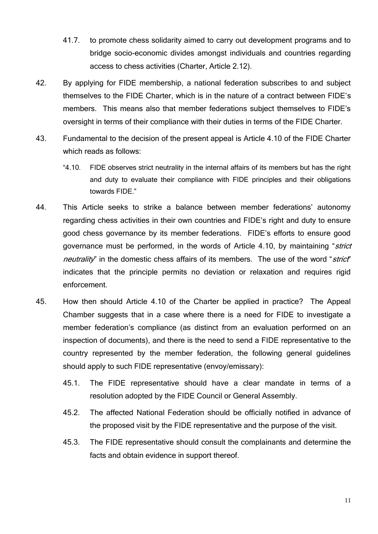- 41.7. to promote chess solidarity aimed to carry out development programs and to bridge socio-economic divides amongst individuals and countries regarding access to chess activities (Charter, Article 2.12).
- 42. By applying for FIDE membership, a national federation subscribes to and subject themselves to the FIDE Charter, which is in the nature of a contract between FIDE's members. This means also that member federations subject themselves to FIDE's oversight in terms of their compliance with their duties in terms of the FIDE Charter.
- 43. Fundamental to the decision of the present appeal is Article 4.10 of the FIDE Charter which reads as follows:
	- "4.10. FIDE observes strict neutrality in the internal affairs of its members but has the right and duty to evaluate their compliance with FIDE principles and their obligations towards FIDE."
- 44. This Article seeks to strike a balance between member federations' autonomy regarding chess activities in their own countries and FIDE's right and duty to ensure good chess governance by its member federations. FIDE's efforts to ensure good governance must be performed, in the words of Article 4.10, by maintaining "strict neutrality" in the domestic chess affairs of its members. The use of the word "strict" indicates that the principle permits no deviation or relaxation and requires rigid enforcement.
- 45. How then should Article 4.10 of the Charter be applied in practice? The Appeal Chamber suggests that in a case where there is a need for FIDE to investigate a member federation's compliance (as distinct from an evaluation performed on an inspection of documents), and there is the need to send a FIDE representative to the country represented by the member federation, the following general guidelines should apply to such FIDE representative (envoy/emissary):
	- 45.1. The FIDE representative should have a clear mandate in terms of a resolution adopted by the FIDE Council or General Assembly.
	- 45.2. The affected National Federation should be officially notified in advance of the proposed visit by the FIDE representative and the purpose of the visit.
	- 45.3. The FIDE representative should consult the complainants and determine the facts and obtain evidence in support thereof.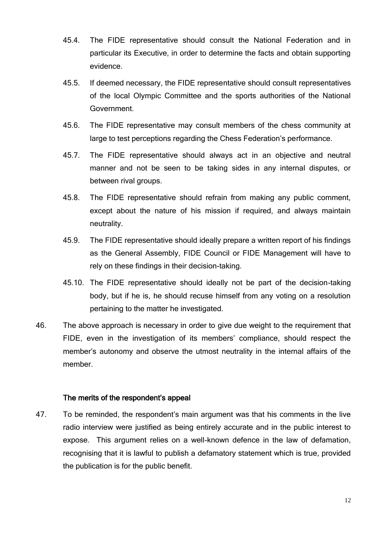- 45.4. The FIDE representative should consult the National Federation and in particular its Executive, in order to determine the facts and obtain supporting evidence.
- 45.5. If deemed necessary, the FIDE representative should consult representatives of the local Olympic Committee and the sports authorities of the National Government.
- 45.6. The FIDE representative may consult members of the chess community at large to test perceptions regarding the Chess Federation's performance.
- 45.7. The FIDE representative should always act in an objective and neutral manner and not be seen to be taking sides in any internal disputes, or between rival groups.
- 45.8. The FIDE representative should refrain from making any public comment, except about the nature of his mission if required, and always maintain neutrality.
- 45.9. The FIDE representative should ideally prepare a written report of his findings as the General Assembly, FIDE Council or FIDE Management will have to rely on these findings in their decision-taking.
- 45.10. The FIDE representative should ideally not be part of the decision-taking body, but if he is, he should recuse himself from any voting on a resolution pertaining to the matter he investigated.
- 46. The above approach is necessary in order to give due weight to the requirement that FIDE, even in the investigation of its members' compliance, should respect the member's autonomy and observe the utmost neutrality in the internal affairs of the member.

#### The merits of the respondent's appeal

47. To be reminded, the respondent's main argument was that his comments in the live radio interview were justified as being entirely accurate and in the public interest to expose. This argument relies on a well-known defence in the law of defamation, recognising that it is lawful to publish a defamatory statement which is true, provided the publication is for the public benefit.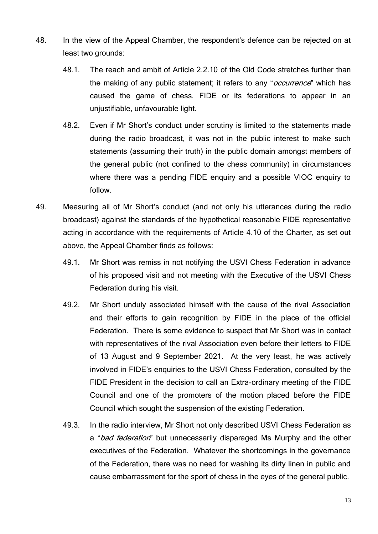- 48. In the view of the Appeal Chamber, the respondent's defence can be rejected on at least two grounds:
	- 48.1. The reach and ambit of Article 2.2.10 of the Old Code stretches further than the making of any public statement; it refers to any "*occurrence*" which has caused the game of chess, FIDE or its federations to appear in an unjustifiable, unfavourable light.
	- 48.2. Even if Mr Short's conduct under scrutiny is limited to the statements made during the radio broadcast, it was not in the public interest to make such statements (assuming their truth) in the public domain amongst members of the general public (not confined to the chess community) in circumstances where there was a pending FIDE enquiry and a possible VIOC enquiry to follow.
- 49. Measuring all of Mr Short's conduct (and not only his utterances during the radio broadcast) against the standards of the hypothetical reasonable FIDE representative acting in accordance with the requirements of Article 4.10 of the Charter, as set out above, the Appeal Chamber finds as follows:
	- 49.1. Mr Short was remiss in not notifying the USVI Chess Federation in advance of his proposed visit and not meeting with the Executive of the USVI Chess Federation during his visit.
	- 49.2. Mr Short unduly associated himself with the cause of the rival Association and their efforts to gain recognition by FIDE in the place of the official Federation. There is some evidence to suspect that Mr Short was in contact with representatives of the rival Association even before their letters to FIDE of 13 August and 9 September 2021. At the very least, he was actively involved in FIDE's enquiries to the USVI Chess Federation, consulted by the FIDE President in the decision to call an Extra-ordinary meeting of the FIDE Council and one of the promoters of the motion placed before the FIDE Council which sought the suspension of the existing Federation.
	- 49.3. In the radio interview, Mr Short not only described USVI Chess Federation as a "bad federation" but unnecessarily disparaged Ms Murphy and the other executives of the Federation. Whatever the shortcomings in the governance of the Federation, there was no need for washing its dirty linen in public and cause embarrassment for the sport of chess in the eyes of the general public.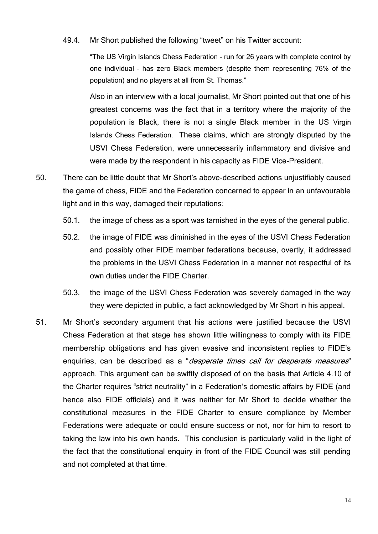49.4. Mr Short published the following "tweet" on his Twitter account:

"The US Virgin Islands Chess Federation – run for 26 years with complete control by one individual – has zero Black members (despite them representing 76% of the population) and no players at all from St. Thomas."

Also in an interview with a local journalist, Mr Short pointed out that one of his greatest concerns was the fact that in a territory where the majority of the population is Black, there is not a single Black member in the US Virgin Islands Chess Federation. These claims, which are strongly disputed by the USVI Chess Federation, were unnecessarily inflammatory and divisive and were made by the respondent in his capacity as FIDE Vice-President.

- 50. There can be little doubt that Mr Short's above-described actions unjustifiably caused the game of chess, FIDE and the Federation concerned to appear in an unfavourable light and in this way, damaged their reputations:
	- 50.1. the image of chess as a sport was tarnished in the eyes of the general public.
	- 50.2. the image of FIDE was diminished in the eyes of the USVI Chess Federation and possibly other FIDE member federations because, overtly, it addressed the problems in the USVI Chess Federation in a manner not respectful of its own duties under the FIDE Charter.
	- 50.3. the image of the USVI Chess Federation was severely damaged in the way they were depicted in public, a fact acknowledged by Mr Short in his appeal.
- 51. Mr Short's secondary argument that his actions were justified because the USVI Chess Federation at that stage has shown little willingness to comply with its FIDE membership obligations and has given evasive and inconsistent replies to FIDE's enquiries, can be described as a "*desperate times call for desperate measures*" approach. This argument can be swiftly disposed of on the basis that Article 4.10 of the Charter requires "strict neutrality" in a Federation's domestic affairs by FIDE (and hence also FIDE officials) and it was neither for Mr Short to decide whether the constitutional measures in the FIDE Charter to ensure compliance by Member Federations were adequate or could ensure success or not, nor for him to resort to taking the law into his own hands. This conclusion is particularly valid in the light of the fact that the constitutional enquiry in front of the FIDE Council was still pending and not completed at that time.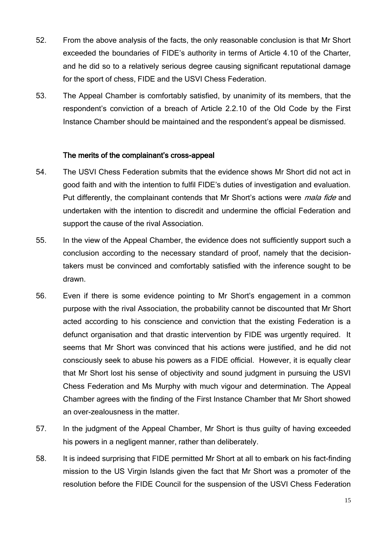- 52. From the above analysis of the facts, the only reasonable conclusion is that Mr Short exceeded the boundaries of FIDE's authority in terms of Article 4.10 of the Charter, and he did so to a relatively serious degree causing significant reputational damage for the sport of chess, FIDE and the USVI Chess Federation.
- 53. The Appeal Chamber is comfortably satisfied, by unanimity of its members, that the respondent's conviction of a breach of Article 2.2.10 of the Old Code by the First Instance Chamber should be maintained and the respondent's appeal be dismissed.

#### The merits of the complainant's cross-appeal

- 54. The USVI Chess Federation submits that the evidence shows Mr Short did not act in good faith and with the intention to fulfil FIDE's duties of investigation and evaluation. Put differently, the complainant contends that Mr Short's actions were *mala fide* and undertaken with the intention to discredit and undermine the official Federation and support the cause of the rival Association.
- 55. In the view of the Appeal Chamber, the evidence does not sufficiently support such a conclusion according to the necessary standard of proof, namely that the decisiontakers must be convinced and comfortably satisfied with the inference sought to be drawn.
- 56. Even if there is some evidence pointing to Mr Short's engagement in a common purpose with the rival Association, the probability cannot be discounted that Mr Short acted according to his conscience and conviction that the existing Federation is a defunct organisation and that drastic intervention by FIDE was urgently required. It seems that Mr Short was convinced that his actions were justified, and he did not consciously seek to abuse his powers as a FIDE official. However, it is equally clear that Mr Short lost his sense of objectivity and sound judgment in pursuing the USVI Chess Federation and Ms Murphy with much vigour and determination. The Appeal Chamber agrees with the finding of the First Instance Chamber that Mr Short showed an over-zealousness in the matter.
- 57. In the judgment of the Appeal Chamber, Mr Short is thus guilty of having exceeded his powers in a negligent manner, rather than deliberately.
- 58. It is indeed surprising that FIDE permitted Mr Short at all to embark on his fact-finding mission to the US Virgin Islands given the fact that Mr Short was a promoter of the resolution before the FIDE Council for the suspension of the USVI Chess Federation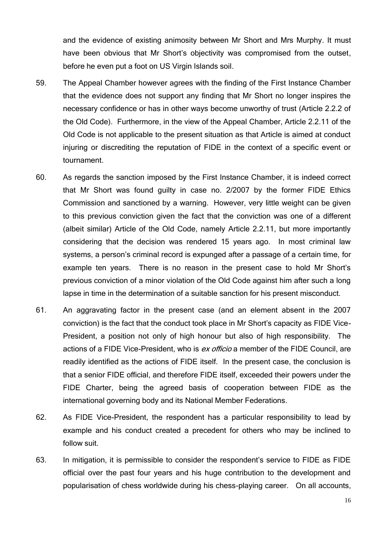and the evidence of existing animosity between Mr Short and Mrs Murphy. It must have been obvious that Mr Short's objectivity was compromised from the outset, before he even put a foot on US Virgin Islands soil.

- 59. The Appeal Chamber however agrees with the finding of the First Instance Chamber that the evidence does not support any finding that Mr Short no longer inspires the necessary confidence or has in other ways become unworthy of trust (Article 2.2.2 of the Old Code). Furthermore, in the view of the Appeal Chamber, Article 2.2.11 of the Old Code is not applicable to the present situation as that Article is aimed at conduct injuring or discrediting the reputation of FIDE in the context of a specific event or tournament.
- 60. As regards the sanction imposed by the First Instance Chamber, it is indeed correct that Mr Short was found guilty in case no. 2/2007 by the former FIDE Ethics Commission and sanctioned by a warning. However, very little weight can be given to this previous conviction given the fact that the conviction was one of a different (albeit similar) Article of the Old Code, namely Article 2.2.11, but more importantly considering that the decision was rendered 15 years ago. In most criminal law systems, a person's criminal record is expunged after a passage of a certain time, for example ten years. There is no reason in the present case to hold Mr Short's previous conviction of a minor violation of the Old Code against him after such a long lapse in time in the determination of a suitable sanction for his present misconduct.
- 61. An aggravating factor in the present case (and an element absent in the 2007 conviction) is the fact that the conduct took place in Mr Short's capacity as FIDE Vice-President, a position not only of high honour but also of high responsibility. The actions of a FIDE Vice-President, who is ex officio a member of the FIDE Council, are readily identified as the actions of FIDE itself. In the present case, the conclusion is that a senior FIDE official, and therefore FIDE itself, exceeded their powers under the FIDE Charter, being the agreed basis of cooperation between FIDE as the international governing body and its National Member Federations.
- 62. As FIDE Vice-President, the respondent has a particular responsibility to lead by example and his conduct created a precedent for others who may be inclined to follow suit.
- 63. In mitigation, it is permissible to consider the respondent's service to FIDE as FIDE official over the past four years and his huge contribution to the development and popularisation of chess worldwide during his chess-playing career. On all accounts,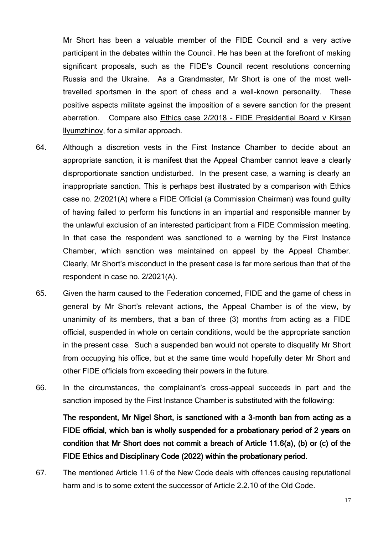Mr Short has been a valuable member of the FIDE Council and a very active participant in the debates within the Council. He has been at the forefront of making significant proposals, such as the FIDE's Council recent resolutions concerning Russia and the Ukraine. As a Grandmaster, Mr Short is one of the most welltravelled sportsmen in the sport of chess and a well-known personality. These positive aspects militate against the imposition of a severe sanction for the present aberration. Compare also Ethics case 2/2018 – FIDE Presidential Board v Kirsan llyumzhinov, for a similar approach.

- 64. Although a discretion vests in the First Instance Chamber to decide about an appropriate sanction, it is manifest that the Appeal Chamber cannot leave a clearly disproportionate sanction undisturbed. In the present case, a warning is clearly an inappropriate sanction. This is perhaps best illustrated by a comparison with Ethics case no. 2/2021(A) where a FIDE Official (a Commission Chairman) was found guilty of having failed to perform his functions in an impartial and responsible manner by the unlawful exclusion of an interested participant from a FIDE Commission meeting. In that case the respondent was sanctioned to a warning by the First Instance Chamber, which sanction was maintained on appeal by the Appeal Chamber. Clearly, Mr Short's misconduct in the present case is far more serious than that of the respondent in case no. 2/2021(A).
- 65. Given the harm caused to the Federation concerned, FIDE and the game of chess in general by Mr Short's relevant actions, the Appeal Chamber is of the view, by unanimity of its members, that a ban of three (3) months from acting as a FIDE official, suspended in whole on certain conditions, would be the appropriate sanction in the present case. Such a suspended ban would not operate to disqualify Mr Short from occupying his office, but at the same time would hopefully deter Mr Short and other FIDE officials from exceeding their powers in the future.
- 66. In the circumstances, the complainant's cross-appeal succeeds in part and the sanction imposed by the First Instance Chamber is substituted with the following:

The respondent, Mr Nigel Short, is sanctioned with a 3-month ban from acting as a FIDE official, which ban is wholly suspended for a probationary period of 2 years on condition that Mr Short does not commit a breach of Article 11.6(a), (b) or (c) of the FIDE Ethics and Disciplinary Code (2022) within the probationary period.

67. The mentioned Article 11.6 of the New Code deals with offences causing reputational harm and is to some extent the successor of Article 2.2.10 of the Old Code.